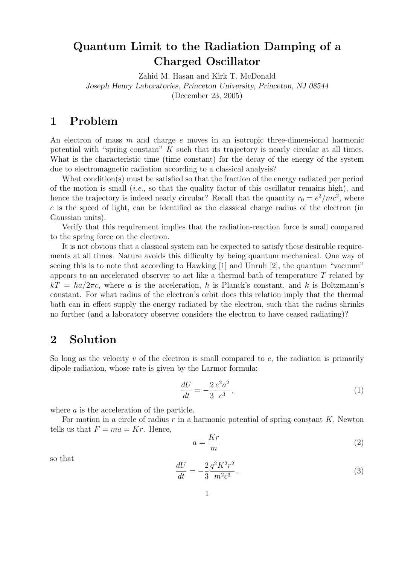## Quantum Limit to the Radiation Damping of a Charged Oscillator

Zahid M. Hasan and Kirk T. McDonald Joseph Henry Laboratories, Princeton University, Princeton, NJ 08544 (December 23, 2005)

## 1 Problem

An electron of mass m and charge e moves in an isotropic three-dimensional harmonic potential with "spring constant" K such that its trajectory is nearly circular at all times. What is the characteristic time (time constant) for the decay of the energy of the system due to electromagnetic radiation according to a classical analysis?

What condition(s) must be satisfied so that the fraction of the energy radiated per period of the motion is small (*i.e.*, so that the quality factor of this oscillator remains high), and hence the trajectory is indeed nearly circular? Recall that the quantity  $r_0 = e^2/mc^2$ , where  $c$  is the speed of light, can be identified as the classical charge radius of the electron (in Gaussian units).

Verify that this requirement implies that the radiation-reaction force is small compared to the spring force on the electron.

It is not obvious that a classical system can be expected to satisfy these desirable requirements at all times. Nature avoids this difficulty by being quantum mechanical. One way of seeing this is to note that according to Hawking [1] and Unruh [2], the quantum "vacuum" appears to an accelerated observer to act like a thermal bath of temperature  $T$  related by  $kT = \hbar a/2\pi c$ , where a is the acceleration,  $\hbar$  is Planck's constant, and k is Boltzmann's constant. For what radius of the electron's orbit does this relation imply that the thermal bath can in effect supply the energy radiated by the electron, such that the radius shrinks no further (and a laboratory observer considers the electron to have ceased radiating)?

## 2 Solution

So long as the velocity  $v$  of the electron is small compared to  $c$ , the radiation is primarily dipole radiation, whose rate is given by the Larmor formula:

$$
\frac{dU}{dt} = -\frac{2}{3} \frac{e^2 a^2}{c^3},\tag{1}
$$

where *a* is the acceleration of the particle.

For motion in a circle of radius  $r$  in a harmonic potential of spring constant  $K$ , Newton tells us that  $F = ma = Kr$ . Hence,

$$
a = \frac{Kr}{m} \tag{2}
$$

so that

$$
\frac{dU}{dt} = -\frac{2}{3} \frac{q^2 K^2 r^2}{m^2 c^3}.
$$
\n(3)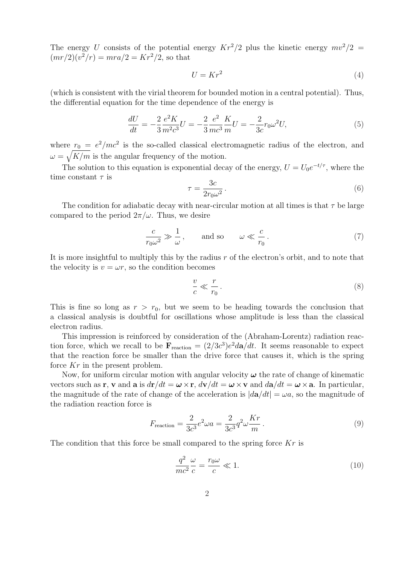The energy U consists of the potential energy  $Kr^2/2$  plus the kinetic energy  $mv^2/2 =$  $(mr/2)(v^2/r) = mra/2 = Kr^2/2$ , so that

$$
U = Kr^2 \tag{4}
$$

(which is consistent with the virial theorem for bounded motion in a central potential). Thus, the differential equation for the time dependence of the energy is

$$
\frac{dU}{dt} = -\frac{2}{3} \frac{e^2 K}{m^2 c^3} U = -\frac{2}{3} \frac{e^2}{mc^3} \frac{K}{m} U = -\frac{2}{3c} r_0 \omega^2 U,\tag{5}
$$

where  $r_0 = e^2/mc^2$  is the so-called classical electromagnetic radius of the electron, and  $\omega = \sqrt{K/m}$  is the angular frequency of the motion.

The solution to this equation is exponential decay of the energy,  $U = U_0 e^{-t/\tau}$ , where the time constant  $\tau$  is  $\overline{a}$ 

$$
\tau = \frac{3c}{2r_0\omega^2} \,. \tag{6}
$$

The condition for adiabatic decay with near-circular motion at all times is that  $\tau$  be large compared to the period  $2\pi/\omega$ . Thus, we desire

$$
\frac{c}{r_0 \omega^2} \gg \frac{1}{\omega}, \quad \text{and so} \quad \omega \ll \frac{c}{r_0}.
$$
 (7)

It is more insightful to multiply this by the radius  $r$  of the electron's orbit, and to note that the velocity is  $v = \omega r$ , so the condition becomes

$$
\frac{v}{c} \ll \frac{r}{r_0} \,. \tag{8}
$$

This is fine so long as  $r > r_0$ , but we seem to be heading towards the conclusion that a classical analysis is doubtful for oscillations whose amplitude is less than the classical electron radius.

This impression is reinforced by consideration of the (Abraham-Lorentz) radiation reaction force, which we recall to be  $\mathbf{F}_{\text{reaction}} = (2/3c^3)e^2 d\mathbf{a}/dt$ . It seems reasonable to expect that the reaction force be smaller than the drive force that causes it, which is the spring force Kr in the present problem.

Now, for uniform circular motion with angular velocity  $\omega$  the rate of change of kinematic vectors such as r, v and a is  $dr/dt = \omega \times r$ ,  $d\mathbf{v}/dt = \omega \times v$  and  $d\mathbf{a}/dt = \omega \times a$ . In particular, the magnitude of the rate of change of the acceleration is  $|d\mathbf{a}/dt| = \omega a$ , so the magnitude of the radiation reaction force is

$$
F_{\text{reaction}} = \frac{2}{3c^3} e^2 \omega a = \frac{2}{3c^3} q^2 \omega \frac{Kr}{m} \,. \tag{9}
$$

The condition that this force be small compared to the spring force  $Kr$  is

$$
\frac{q^2}{mc^2} \frac{\omega}{c} = \frac{r_0 \omega}{c} \ll 1.
$$
\n(10)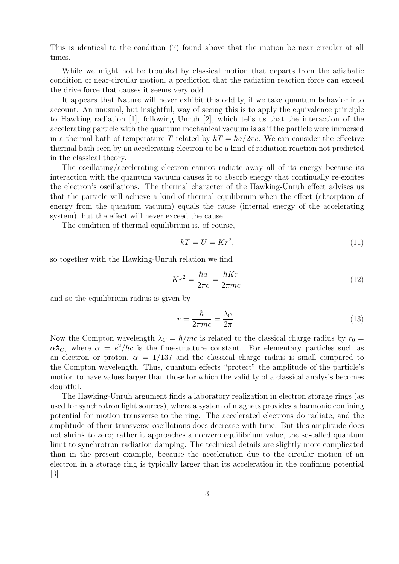This is identical to the condition (7) found above that the motion be near circular at all times.

While we might not be troubled by classical motion that departs from the adiabatic condition of near-circular motion, a prediction that the radiation reaction force can exceed the drive force that causes it seems very odd.

It appears that Nature will never exhibit this oddity, if we take quantum behavior into account. An unusual, but insightful, way of seeing this is to apply the equivalence principle to Hawking radiation [1], following Unruh [2], which tells us that the interaction of the accelerating particle with the quantum mechanical vacuum is as if the particle were immersed in a thermal bath of temperature T related by  $kT = \hbar a/2\pi c$ . We can consider the effective thermal bath seen by an accelerating electron to be a kind of radiation reaction not predicted in the classical theory.

The oscillating/accelerating electron cannot radiate away all of its energy because its interaction with the quantum vacuum causes it to absorb energy that continually re-excites the electron's oscillations. The thermal character of the Hawking-Unruh effect advises us that the particle will achieve a kind of thermal equilibrium when the effect (absorption of energy from the quantum vacuum) equals the cause (internal energy of the accelerating system), but the effect will never exceed the cause.

The condition of thermal equilibrium is, of course,

$$
kT = U = Kr^2,\tag{11}
$$

so together with the Hawking-Unruh relation we find

$$
Kr^2 = \frac{\hbar a}{2\pi c} = \frac{\hbar Kr}{2\pi mc} \tag{12}
$$

and so the equilibrium radius is given by

$$
r = \frac{\hbar}{2\pi mc} = \frac{\lambda_C}{2\pi} \,. \tag{13}
$$

Now the Compton wavelength  $\lambda_C = \hbar/mc$  is related to the classical charge radius by  $r_0 =$  $\alpha \lambda_C$ , where  $\alpha = e^2/\hbar c$  is the fine-structure constant. For elementary particles such as an electron or proton,  $\alpha = 1/137$  and the classical charge radius is small compared to the Compton wavelength. Thus, quantum effects "protect" the amplitude of the particle's motion to have values larger than those for which the validity of a classical analysis becomes doubtful.

The Hawking-Unruh argument finds a laboratory realization in electron storage rings (as used for synchrotron light sources), where a system of magnets provides a harmonic confining potential for motion transverse to the ring. The accelerated electrons do radiate, and the amplitude of their transverse oscillations does decrease with time. But this amplitude does not shrink to zero; rather it approaches a nonzero equilibrium value, the so-called quantum limit to synchrotron radiation damping. The technical details are slightly more complicated than in the present example, because the acceleration due to the circular motion of an electron in a storage ring is typically larger than its acceleration in the confining potential [3]